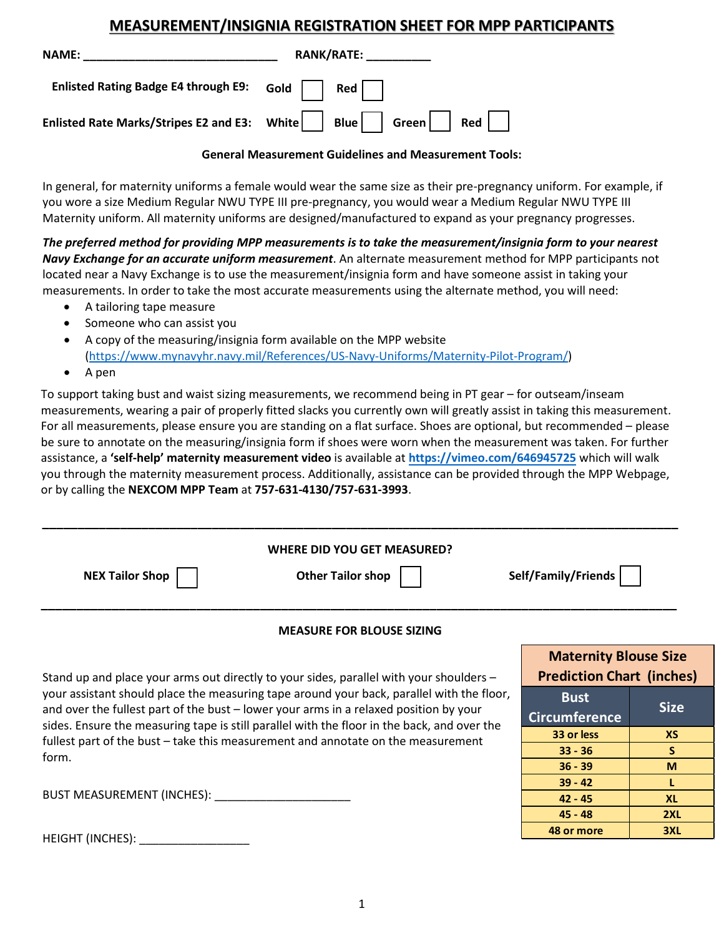## **MEASUREMENT/INSIGNIA REGISTRATION SHEET FOR MPP PARTICIPANTS**

| <b>NAME:</b>                                | <b>RANK/RATE:</b>                                           |  |  |
|---------------------------------------------|-------------------------------------------------------------|--|--|
| <b>Enlisted Rating Badge E4 through E9:</b> |                                                             |  |  |
|                                             | Enlisted Rate Marks/Stripes E2 and E3: White Blue Green Red |  |  |

## **General Measurement Guidelines and Measurement Tools:**

In general, for maternity uniforms a female would wear the same size as their pre-pregnancy uniform. For example, if you wore a size Medium Regular NWU TYPE III pre-pregnancy, you would wear a Medium Regular NWU TYPE III Maternity uniform. All maternity uniforms are designed/manufactured to expand as your pregnancy progresses.

*The preferred method for providing MPP measurements is to take the measurement/insignia form to your nearest Navy Exchange for an accurate uniform measurement*. An alternate measurement method for MPP participants not located near a Navy Exchange is to use the measurement/insignia form and have someone assist in taking your measurements. In order to take the most accurate measurements using the alternate method, you will need:

- A tailoring tape measure
- Someone who can assist you
- A copy of the measuring/insignia form available on the MPP website [\(https://www.mynavyhr.navy.mil/References/US-Navy-Uniforms/Maternity-Pilot-Program/\)](https://www.mynavyhr.navy.mil/References/US-Navy-Uniforms/Maternity-Pilot-Program/)
- A pen

To support taking bust and waist sizing measurements, we recommend being in PT gear – for outseam/inseam measurements, wearing a pair of properly fitted slacks you currently own will greatly assist in taking this measurement. For all measurements, please ensure you are standing on a flat surface. Shoes are optional, but recommended – please be sure to annotate on the measuring/insignia form if shoes were worn when the measurement was taken. For further assistance, a **'self-help' maternity measurement video** is available at **<https://vimeo.com/646945725>** which will walk you through the maternity measurement process. Additionally, assistance can be provided through the MPP Webpage, or by calling the **NEXCOM MPP Team** at **757-631-4130/757-631-3993**.

| <b>WHERE DID YOU GET MEASURED?</b>                                                                                                                                                   |                                  |              |  |  |  |  |  |  |
|--------------------------------------------------------------------------------------------------------------------------------------------------------------------------------------|----------------------------------|--------------|--|--|--|--|--|--|
| <b>NEX Tailor Shop</b><br><b>Other Tailor shop</b><br>Self/Family/Friends                                                                                                            |                                  |              |  |  |  |  |  |  |
| <b>MEASURE FOR BLOUSE SIZING</b>                                                                                                                                                     |                                  |              |  |  |  |  |  |  |
|                                                                                                                                                                                      | <b>Maternity Blouse Size</b>     |              |  |  |  |  |  |  |
| Stand up and place your arms out directly to your sides, parallel with your shoulders -                                                                                              | <b>Prediction Chart (inches)</b> |              |  |  |  |  |  |  |
| your assistant should place the measuring tape around your back, parallel with the floor,                                                                                            | <b>Bust</b>                      |              |  |  |  |  |  |  |
| and over the fullest part of the bust – lower your arms in a relaxed position by your<br>sides. Ensure the measuring tape is still parallel with the floor in the back, and over the | <b>Circumference</b>             | <b>Size</b>  |  |  |  |  |  |  |
| fullest part of the bust - take this measurement and annotate on the measurement                                                                                                     | 33 or less                       | <b>XS</b>    |  |  |  |  |  |  |
| form.                                                                                                                                                                                | $33 - 36$                        | <sub>S</sub> |  |  |  |  |  |  |
|                                                                                                                                                                                      | $36 - 39$                        | M            |  |  |  |  |  |  |
|                                                                                                                                                                                      | $39 - 42$                        | L            |  |  |  |  |  |  |
| BUST MEASUREMENT (INCHES):                                                                                                                                                           | $42 - 45$                        | <b>XL</b>    |  |  |  |  |  |  |
|                                                                                                                                                                                      | $45 - 48$                        | 2XL          |  |  |  |  |  |  |
|                                                                                                                                                                                      | 48 or more                       | 3XL          |  |  |  |  |  |  |
| HEIGHT (INCHES): ____________                                                                                                                                                        |                                  |              |  |  |  |  |  |  |